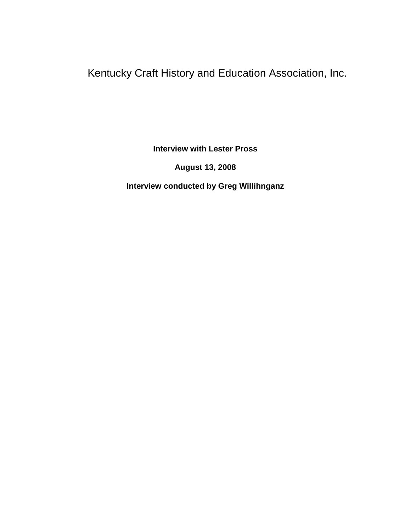Kentucky Craft History and Education Association, Inc.

**Interview with Lester Pross**

**August 13, 2008**

**Interview conducted by Greg Willihnganz**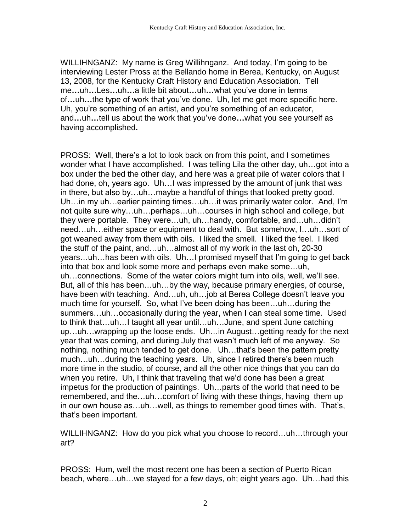WILLIHNGANZ: My name is Greg Willihnganz. And today, I'm going to be interviewing Lester Pross at the Bellando home in Berea, Kentucky, on August 13, 2008, for the Kentucky Craft History and Education Association. Tell me**…**uh**…**Les**…**uh**…**a little bit about**…**uh**…**what you've done in terms of**…**uh**…**the type of work that you've done. Uh, let me get more specific here. Uh, you're something of an artist, and you're something of an educator, and**…**uh**…**tell us about the work that you've done**…**what you see yourself as having accomplished**.**

PROSS: Well, there's a lot to look back on from this point, and I sometimes wonder what I have accomplished. I was telling Lila the other day, uh…got into a box under the bed the other day, and here was a great pile of water colors that I had done, oh, years ago. Uh…I was impressed by the amount of junk that was in there, but also by…uh…maybe a handful of things that looked pretty good. Uh…in my uh…earlier painting times…uh…it was primarily water color. And, I'm not quite sure why…uh…perhaps…uh…courses in high school and college, but they were portable. They were…uh, uh…handy, comfortable, and…uh…didn't need…uh…either space or equipment to deal with. But somehow, I…uh…sort of got weaned away from them with oils. I liked the smell. I liked the feel. I liked the stuff of the paint, and…uh…almost all of my work in the last oh, 20-30 years…uh…has been with oils. Uh…I promised myself that I'm going to get back into that box and look some more and perhaps even make some…uh, uh…connections. Some of the water colors might turn into oils, well, we'll see. But, all of this has been…uh…by the way, because primary energies, of course, have been with teaching. And...uh, uh...job at Berea College doesn't leave you much time for yourself. So, what I've been doing has been…uh…during the summers…uh…occasionally during the year, when I can steal some time. Used to think that…uh…I taught all year until…uh…June, and spent June catching up…uh…wrapping up the loose ends. Uh…in August…getting ready for the next year that was coming, and during July that wasn't much left of me anyway. So nothing, nothing much tended to get done. Uh…that's been the pattern pretty much…uh…during the teaching years. Uh, since I retired there's been much more time in the studio, of course, and all the other nice things that you can do when you retire. Uh, I think that traveling that we'd done has been a great impetus for the production of paintings. Uh…parts of the world that need to be remembered, and the…uh…comfort of living with these things, having them up in our own house as…uh…well, as things to remember good times with. That's, that's been important.

WILLIHNGANZ: How do you pick what you choose to record…uh…through your art?

PROSS: Hum, well the most recent one has been a section of Puerto Rican beach, where…uh…we stayed for a few days, oh; eight years ago. Uh…had this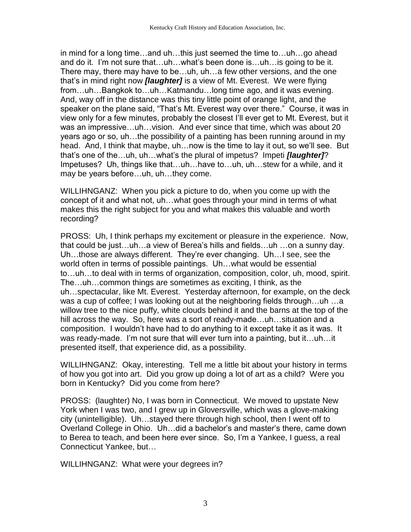in mind for a long time…and uh…this just seemed the time to…uh…go ahead and do it. I'm not sure that…uh…what's been done is…uh…is going to be it. There may, there may have to be…uh, uh…a few other versions, and the one that's in mind right now *[laughter]* is a view of Mt. Everest. We were flying from…uh…Bangkok to…uh…Katmandu…long time ago, and it was evening. And, way off in the distance was this tiny little point of orange light, and the speaker on the plane said, "That's Mt. Everest way over there." Course, it was in view only for a few minutes, probably the closest I'll ever get to Mt. Everest, but it was an impressive…uh…vision. And ever since that time, which was about 20 years ago or so, uh…the possibility of a painting has been running around in my head. And, I think that maybe, uh…now is the time to lay it out, so we'll see. But that's one of the…uh, uh…what's the plural of impetus? Impeti *[laughter]*? Impetuses? Uh, things like that…uh…have to…uh, uh…stew for a while, and it may be years before…uh, uh…they come.

WILLIHNGANZ: When you pick a picture to do, when you come up with the concept of it and what not, uh…what goes through your mind in terms of what makes this the right subject for you and what makes this valuable and worth recording?

PROSS: Uh, I think perhaps my excitement or pleasure in the experience. Now, that could be just…uh…a view of Berea's hills and fields…uh …on a sunny day. Uh…those are always different. They're ever changing. Uh…I see, see the world often in terms of possible paintings. Uh…what would be essential to…uh…to deal with in terms of organization, composition, color, uh, mood, spirit. The…uh…common things are sometimes as exciting, I think, as the uh…spectacular, like Mt. Everest. Yesterday afternoon, for example, on the deck was a cup of coffee; I was looking out at the neighboring fields through…uh …a willow tree to the nice puffy, white clouds behind it and the barns at the top of the hill across the way. So, here was a sort of ready-made…uh…situation and a composition. I wouldn't have had to do anything to it except take it as it was. It was ready-made. I'm not sure that will ever turn into a painting, but it…uh…it presented itself, that experience did, as a possibility.

WILLIHNGANZ: Okay, interesting. Tell me a little bit about your history in terms of how you got into art. Did you grow up doing a lot of art as a child? Were you born in Kentucky? Did you come from here?

PROSS: (laughter) No, I was born in Connecticut. We moved to upstate New York when I was two, and I grew up in Gloversville, which was a glove-making city (unintelligible). Uh…stayed there through high school, then I went off to Overland College in Ohio. Uh…did a bachelor's and master's there, came down to Berea to teach, and been here ever since. So, I'm a Yankee, I guess, a real Connecticut Yankee, but…

WILLIHNGANZ: What were your degrees in?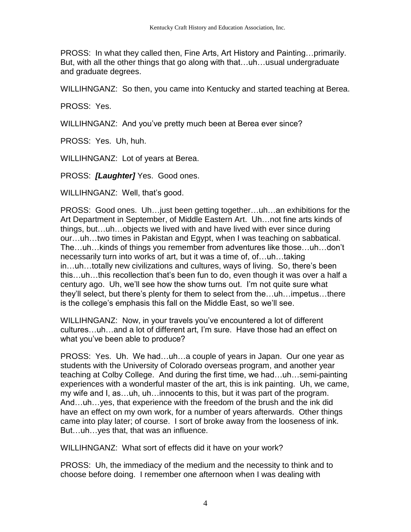PROSS: In what they called then, Fine Arts, Art History and Painting…primarily. But, with all the other things that go along with that…uh…usual undergraduate and graduate degrees.

WILLIHNGANZ: So then, you came into Kentucky and started teaching at Berea.

PROSS: Yes.

WILLIHNGANZ: And you've pretty much been at Berea ever since?

PROSS: Yes. Uh, huh.

WILLIHNGANZ: Lot of years at Berea.

PROSS: *[Laughter]* Yes. Good ones.

WILLIHNGANZ: Well, that's good.

PROSS: Good ones. Uh…just been getting together…uh…an exhibitions for the Art Department in September, of Middle Eastern Art. Uh…not fine arts kinds of things, but…uh…objects we lived with and have lived with ever since during our…uh…two times in Pakistan and Egypt, when I was teaching on sabbatical. The…uh…kinds of things you remember from adventures like those…uh…don't necessarily turn into works of art, but it was a time of, of…uh…taking in…uh…totally new civilizations and cultures, ways of living. So, there's been this…uh…this recollection that's been fun to do, even though it was over a half a century ago. Uh, we'll see how the show turns out. I'm not quite sure what they'll select, but there's plenty for them to select from the…uh…impetus…there is the college's emphasis this fall on the Middle East, so we'll see.

WILLIHNGANZ: Now, in your travels you've encountered a lot of different cultures…uh…and a lot of different art, I'm sure. Have those had an effect on what you've been able to produce?

PROSS: Yes. Uh. We had…uh…a couple of years in Japan. Our one year as students with the University of Colorado overseas program, and another year teaching at Colby College. And during the first time, we had…uh…semi-painting experiences with a wonderful master of the art, this is ink painting. Uh, we came, my wife and I, as…uh, uh…innocents to this, but it was part of the program. And…uh…yes, that experience with the freedom of the brush and the ink did have an effect on my own work, for a number of years afterwards. Other things came into play later; of course. I sort of broke away from the looseness of ink. But…uh…yes that, that was an influence.

WILLIHNGANZ: What sort of effects did it have on your work?

PROSS: Uh, the immediacy of the medium and the necessity to think and to choose before doing. I remember one afternoon when I was dealing with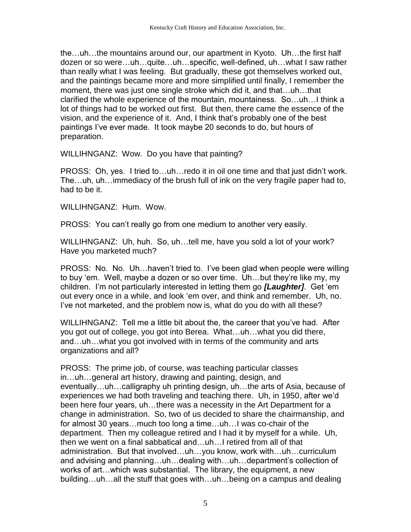the…uh…the mountains around our, our apartment in Kyoto. Uh…the first half dozen or so were…uh…quite…uh…specific, well-defined, uh…what I saw rather than really what I was feeling. But gradually, these got themselves worked out, and the paintings became more and more simplified until finally, I remember the moment, there was just one single stroke which did it, and that…uh…that clarified the whole experience of the mountain, mountainess. So…uh…I think a lot of things had to be worked out first. But then, there came the essence of the vision, and the experience of it. And, I think that's probably one of the best paintings I've ever made. It took maybe 20 seconds to do, but hours of preparation.

WILLIHNGANZ: Wow. Do you have that painting?

PROSS: Oh, yes. I tried to…uh…redo it in oil one time and that just didn't work. The…uh, uh…immediacy of the brush full of ink on the very fragile paper had to, had to be it.

WILLIHNGANZ: Hum. Wow.

PROSS: You can't really go from one medium to another very easily.

WILLIHNGANZ: Uh, huh. So, uh…tell me, have you sold a lot of your work? Have you marketed much?

PROSS: No. No. Uh…haven't tried to. I've been glad when people were willing to buy 'em. Well, maybe a dozen or so over time. Uh…but they're like my, my children. I'm not particularly interested in letting them go *[Laughter]*. Get 'em out every once in a while, and look 'em over, and think and remember. Uh, no. I've not marketed, and the problem now is, what do you do with all these?

WILLIHNGANZ: Tell me a little bit about the, the career that you've had. After you got out of college, you got into Berea. What…uh…what you did there, and…uh…what you got involved with in terms of the community and arts organizations and all?

PROSS: The prime job, of course, was teaching particular classes in…uh…general art history, drawing and painting, design, and eventually…uh…calligraphy uh printing design, uh…the arts of Asia, because of experiences we had both traveling and teaching there. Uh, in 1950, after we'd been here four years, uh…there was a necessity in the Art Department for a change in administration. So, two of us decided to share the chairmanship, and for almost 30 years…much too long a time…uh…I was co-chair of the department. Then my colleague retired and I had it by myself for a while. Uh, then we went on a final sabbatical and…uh…I retired from all of that administration. But that involved…uh…you know, work with…uh…curriculum and advising and planning…uh…dealing with…uh…department's collection of works of art…which was substantial. The library, the equipment, a new building…uh…all the stuff that goes with…uh…being on a campus and dealing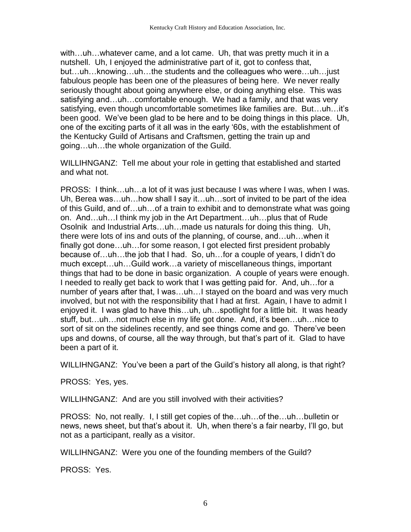with…uh…whatever came, and a lot came. Uh, that was pretty much it in a nutshell. Uh, I enjoyed the administrative part of it, got to confess that, but…uh…knowing…uh…the students and the colleagues who were…uh…just fabulous people has been one of the pleasures of being here. We never really seriously thought about going anywhere else, or doing anything else. This was satisfying and…uh…comfortable enough. We had a family, and that was very satisfying, even though uncomfortable sometimes like families are. But…uh…it's been good. We've been glad to be here and to be doing things in this place. Uh, one of the exciting parts of it all was in the early '60s, with the establishment of the Kentucky Guild of Artisans and Craftsmen, getting the train up and going…uh…the whole organization of the Guild.

WILLIHNGANZ: Tell me about your role in getting that established and started and what not.

PROSS: I think…uh…a lot of it was just because I was where I was, when I was. Uh, Berea was…uh…how shall I say it…uh…sort of invited to be part of the idea of this Guild, and of…uh…of a train to exhibit and to demonstrate what was going on. And…uh…I think my job in the Art Department…uh…plus that of Rude Osolnik and Industrial Arts…uh…made us naturals for doing this thing. Uh, there were lots of ins and outs of the planning, of course, and…uh…when it finally got done…uh…for some reason, I got elected first president probably because of…uh…the job that I had. So, uh…for a couple of years, I didn't do much except…uh…Guild work…a variety of miscellaneous things, important things that had to be done in basic organization. A couple of years were enough. I needed to really get back to work that I was getting paid for. And, uh…for a number of years after that, I was…uh…I stayed on the board and was very much involved, but not with the responsibility that I had at first. Again, I have to admit I enjoyed it. I was glad to have this…uh, uh…spotlight for a little bit. It was heady stuff, but…uh…not much else in my life got done. And, it's been…uh…nice to sort of sit on the sidelines recently, and see things come and go. There've been ups and downs, of course, all the way through, but that's part of it. Glad to have been a part of it.

WILLIHNGANZ: You've been a part of the Guild's history all along, is that right?

PROSS: Yes, yes.

WILLIHNGANZ: And are you still involved with their activities?

PROSS: No, not really. I, I still get copies of the…uh…of the…uh…bulletin or news, news sheet, but that's about it. Uh, when there's a fair nearby, I'll go, but not as a participant, really as a visitor.

WILLIHNGANZ: Were you one of the founding members of the Guild?

PROSS: Yes.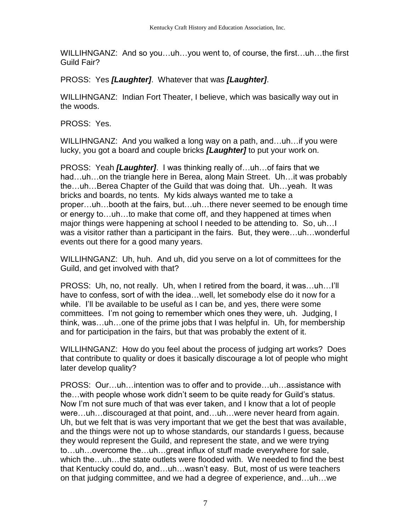WILLIHNGANZ: And so you…uh…you went to, of course, the first…uh…the first Guild Fair?

PROSS: Yes *[Laughter]*. Whatever that was *[Laughter]*.

WILLIHNGANZ: Indian Fort Theater, I believe, which was basically way out in the woods.

PROSS: Yes.

WILLIHNGANZ: And you walked a long way on a path, and…uh…if you were lucky, you got a board and couple bricks *[Laughter]* to put your work on.

PROSS: Yeah *[Laughter]*. I was thinking really of…uh…of fairs that we had…uh…on the triangle here in Berea, along Main Street. Uh…it was probably the…uh…Berea Chapter of the Guild that was doing that. Uh…yeah. It was bricks and boards, no tents. My kids always wanted me to take a proper…uh…booth at the fairs, but…uh…there never seemed to be enough time or energy to…uh…to make that come off, and they happened at times when major things were happening at school I needed to be attending to. So, uh…I was a visitor rather than a participant in the fairs. But, they were…uh…wonderful events out there for a good many years.

WILLIHNGANZ: Uh, huh. And uh, did you serve on a lot of committees for the Guild, and get involved with that?

PROSS: Uh, no, not really. Uh, when I retired from the board, it was…uh…I'll have to confess, sort of with the idea…well, let somebody else do it now for a while. I'll be available to be useful as I can be, and yes, there were some committees. I'm not going to remember which ones they were, uh. Judging, I think, was…uh…one of the prime jobs that I was helpful in. Uh, for membership and for participation in the fairs, but that was probably the extent of it.

WILLIHNGANZ: How do you feel about the process of judging art works? Does that contribute to quality or does it basically discourage a lot of people who might later develop quality?

PROSS: Our…uh…intention was to offer and to provide…uh…assistance with the…with people whose work didn't seem to be quite ready for Guild's status. Now I'm not sure much of that was ever taken, and I know that a lot of people were…uh…discouraged at that point, and…uh…were never heard from again. Uh, but we felt that is was very important that we get the best that was available, and the things were not up to whose standards, our standards I guess, because they would represent the Guild, and represent the state, and we were trying to…uh…overcome the…uh…great influx of stuff made everywhere for sale, which the…uh…the state outlets were flooded with. We needed to find the best that Kentucky could do, and…uh…wasn't easy. But, most of us were teachers on that judging committee, and we had a degree of experience, and…uh…we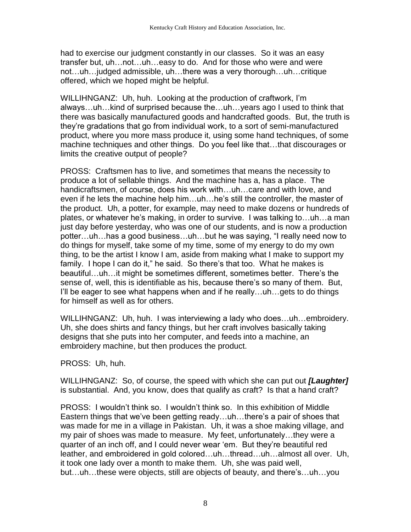had to exercise our judgment constantly in our classes. So it was an easy transfer but, uh…not…uh…easy to do. And for those who were and were not…uh…judged admissible, uh…there was a very thorough…uh…critique offered, which we hoped might be helpful.

WILLIHNGANZ: Uh, huh. Looking at the production of craftwork, I'm always…uh…kind of surprised because the…uh…years ago I used to think that there was basically manufactured goods and handcrafted goods. But, the truth is they're gradations that go from individual work, to a sort of semi-manufactured product, where you more mass produce it, using some hand techniques, of some machine techniques and other things. Do you feel like that…that discourages or limits the creative output of people?

PROSS: Craftsmen has to live, and sometimes that means the necessity to produce a lot of sellable things. And the machine has a, has a place. The handicraftsmen, of course, does his work with…uh…care and with love, and even if he lets the machine help him…uh…he's still the controller, the master of the product. Uh, a potter, for example, may need to make dozens or hundreds of plates, or whatever he's making, in order to survive. I was talking to…uh…a man just day before yesterday, who was one of our students, and is now a production potter…uh…has a good business…uh…but he was saying, "I really need now to do things for myself, take some of my time, some of my energy to do my own thing, to be the artist I know I am, aside from making what I make to support my family. I hope I can do it," he said. So there's that too. What he makes is beautiful…uh…it might be sometimes different, sometimes better. There's the sense of, well, this is identifiable as his, because there's so many of them. But, I'll be eager to see what happens when and if he really...uh...gets to do things for himself as well as for others.

WILLIHNGANZ: Uh, huh. I was interviewing a lady who does…uh…embroidery. Uh, she does shirts and fancy things, but her craft involves basically taking designs that she puts into her computer, and feeds into a machine, an embroidery machine, but then produces the product.

PROSS: Uh, huh.

WILLIHNGANZ: So, of course, the speed with which she can put out *[Laughter]* is substantial. And, you know, does that qualify as craft? Is that a hand craft?

PROSS: I wouldn't think so. I wouldn't think so. In this exhibition of Middle Eastern things that we've been getting ready…uh…there's a pair of shoes that was made for me in a village in Pakistan. Uh, it was a shoe making village, and my pair of shoes was made to measure. My feet, unfortunately…they were a quarter of an inch off, and I could never wear 'em. But they're beautiful red leather, and embroidered in gold colored…uh…thread…uh…almost all over. Uh, it took one lady over a month to make them. Uh, she was paid well, but…uh…these were objects, still are objects of beauty, and there's…uh…you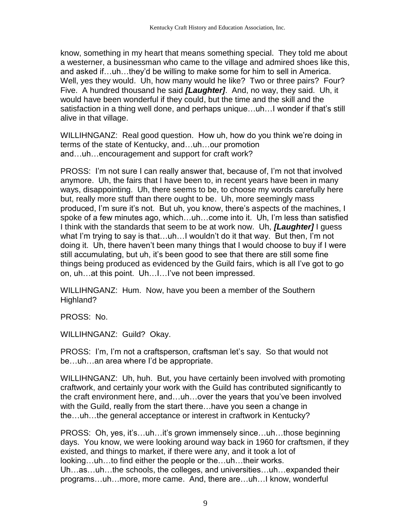know, something in my heart that means something special. They told me about a westerner, a businessman who came to the village and admired shoes like this, and asked if…uh…they'd be willing to make some for him to sell in America. Well, yes they would. Uh, how many would he like? Two or three pairs? Four? Five. A hundred thousand he said *[Laughter]*. And, no way, they said. Uh, it would have been wonderful if they could, but the time and the skill and the satisfaction in a thing well done, and perhaps unique…uh…I wonder if that's still alive in that village.

WILLIHNGANZ: Real good question. How uh, how do you think we're doing in terms of the state of Kentucky, and…uh…our promotion and…uh…encouragement and support for craft work?

PROSS: I'm not sure I can really answer that, because of, I'm not that involved anymore. Uh, the fairs that I have been to, in recent years have been in many ways, disappointing. Uh, there seems to be, to choose my words carefully here but, really more stuff than there ought to be. Uh, more seemingly mass produced, I'm sure it's not. But uh, you know, there's aspects of the machines, I spoke of a few minutes ago, which…uh…come into it. Uh, I'm less than satisfied I think with the standards that seem to be at work now. Uh, *[Laughter]* I guess what I'm trying to say is that…uh…I wouldn't do it that way. But then, I'm not doing it. Uh, there haven't been many things that I would choose to buy if I were still accumulating, but uh, it's been good to see that there are still some fine things being produced as evidenced by the Guild fairs, which is all I've got to go on, uh…at this point. Uh…I…I've not been impressed.

WILLIHNGANZ: Hum. Now, have you been a member of the Southern Highland?

PROSS: No.

WILLIHNGANZ: Guild? Okay.

PROSS: I'm, I'm not a craftsperson, craftsman let's say. So that would not be…uh…an area where I'd be appropriate.

WILLIHNGANZ: Uh, huh. But, you have certainly been involved with promoting craftwork, and certainly your work with the Guild has contributed significantly to the craft environment here, and…uh…over the years that you've been involved with the Guild, really from the start there…have you seen a change in the…uh…the general acceptance or interest in craftwork in Kentucky?

PROSS: Oh, yes, it's…uh…it's grown immensely since…uh…those beginning days. You know, we were looking around way back in 1960 for craftsmen, if they existed, and things to market, if there were any, and it took a lot of looking…uh…to find either the people or the…uh…their works. Uh…as…uh…the schools, the colleges, and universities…uh…expanded their programs…uh…more, more came. And, there are…uh…I know, wonderful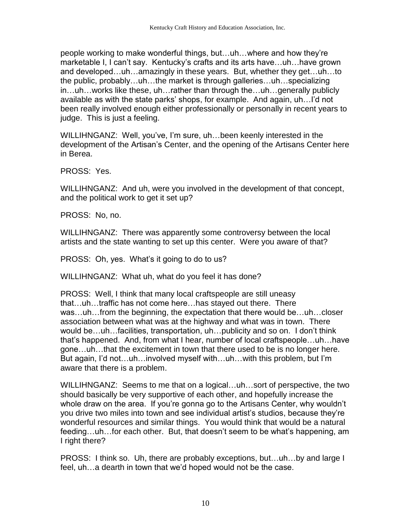people working to make wonderful things, but…uh…where and how they're marketable I, I can't say. Kentucky's crafts and its arts have…uh…have grown and developed…uh…amazingly in these years. But, whether they get…uh…to the public, probably…uh…the market is through galleries…uh…specializing in…uh…works like these, uh…rather than through the…uh…generally publicly available as with the state parks' shops, for example. And again, uh…I'd not been really involved enough either professionally or personally in recent years to judge. This is just a feeling.

WILLIHNGANZ: Well, you've, I'm sure, uh…been keenly interested in the development of the Artisan's Center, and the opening of the Artisans Center here in Berea.

PROSS: Yes.

WILLIHNGANZ: And uh, were you involved in the development of that concept, and the political work to get it set up?

PROSS: No, no.

WILLIHNGANZ: There was apparently some controversy between the local artists and the state wanting to set up this center. Were you aware of that?

PROSS: Oh, yes. What's it going to do to us?

WILLIHNGANZ: What uh, what do you feel it has done?

PROSS: Well, I think that many local craftspeople are still uneasy that…uh…traffic has not come here…has stayed out there. There was…uh…from the beginning, the expectation that there would be…uh…closer association between what was at the highway and what was in town. There would be…uh…facilities, transportation, uh…publicity and so on. I don't think that's happened. And, from what I hear, number of local craftspeople…uh…have gone…uh…that the excitement in town that there used to be is no longer here. But again, I'd not…uh…involved myself with…uh…with this problem, but I'm aware that there is a problem.

WILLIHNGANZ: Seems to me that on a logical…uh…sort of perspective, the two should basically be very supportive of each other, and hopefully increase the whole draw on the area. If you're gonna go to the Artisans Center, why wouldn't you drive two miles into town and see individual artist's studios, because they're wonderful resources and similar things. You would think that would be a natural feeding…uh…for each other. But, that doesn't seem to be what's happening, am I right there?

PROSS: I think so. Uh, there are probably exceptions, but…uh…by and large I feel, uh…a dearth in town that we'd hoped would not be the case.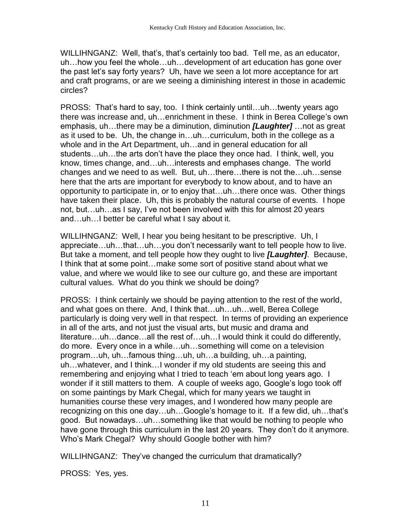WILLIHNGANZ: Well, that's, that's certainly too bad. Tell me, as an educator, uh…how you feel the whole…uh…development of art education has gone over the past let's say forty years? Uh, have we seen a lot more acceptance for art and craft programs, or are we seeing a diminishing interest in those in academic circles?

PROSS: That's hard to say, too. I think certainly until…uh…twenty years ago there was increase and, uh…enrichment in these. I think in Berea College's own emphasis, uh…there may be a diminution, diminution *[Laughter]* …not as great as it used to be. Uh, the change in…uh…curriculum, both in the college as a whole and in the Art Department, uh…and in general education for all students…uh…the arts don't have the place they once had. I think, well, you know, times change, and…uh…interests and emphases change. The world changes and we need to as well. But, uh…there…there is not the…uh…sense here that the arts are important for everybody to know about, and to have an opportunity to participate in, or to enjoy that…uh…there once was. Other things have taken their place. Uh, this is probably the natural course of events. I hope not, but…uh…as I say, I've not been involved with this for almost 20 years and…uh…I better be careful what I say about it.

WILLIHNGANZ: Well, I hear you being hesitant to be prescriptive. Uh, I appreciate…uh…that…uh…you don't necessarily want to tell people how to live. But take a moment, and tell people how they ought to live *[Laughter]*. Because, I think that at some point…make some sort of positive stand about what we value, and where we would like to see our culture go, and these are important cultural values. What do you think we should be doing?

PROSS: I think certainly we should be paying attention to the rest of the world, and what goes on there. And, I think that…uh…uh…well, Berea College particularly is doing very well in that respect. In terms of providing an experience in all of the arts, and not just the visual arts, but music and drama and literature…uh…dance…all the rest of…uh…I would think it could do differently, do more. Every once in a while…uh…something will come on a television program…uh, uh…famous thing…uh, uh…a building, uh…a painting, uh…whatever, and I think…I wonder if my old students are seeing this and remembering and enjoying what I tried to teach 'em about long years ago. I wonder if it still matters to them. A couple of weeks ago, Google's logo took off on some paintings by Mark Chegal, which for many years we taught in humanities course these very images, and I wondered how many people are recognizing on this one day…uh…Google's homage to it. If a few did, uh…that's good. But nowadays…uh…something like that would be nothing to people who have gone through this curriculum in the last 20 years. They don't do it anymore. Who's Mark Chegal? Why should Google bother with him?

WILLIHNGANZ: They've changed the curriculum that dramatically?

PROSS: Yes, yes.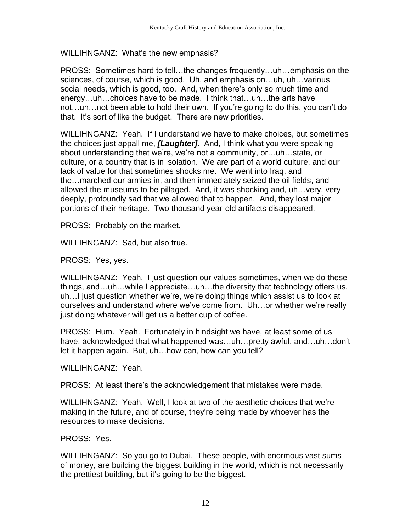WILLIHNGANZ: What's the new emphasis?

PROSS: Sometimes hard to tell…the changes frequently…uh…emphasis on the sciences, of course, which is good. Uh, and emphasis on…uh, uh…various social needs, which is good, too. And, when there's only so much time and energy…uh…choices have to be made. I think that…uh…the arts have not…uh…not been able to hold their own. If you're going to do this, you can't do that. It's sort of like the budget. There are new priorities.

WILLIHNGANZ: Yeah. If I understand we have to make choices, but sometimes the choices just appall me, *[Laughter]*. And, I think what you were speaking about understanding that we're, we're not a community, or…uh…state, or culture, or a country that is in isolation. We are part of a world culture, and our lack of value for that sometimes shocks me. We went into Iraq, and the…marched our armies in, and then immediately seized the oil fields, and allowed the museums to be pillaged. And, it was shocking and, uh…very, very deeply, profoundly sad that we allowed that to happen. And, they lost major portions of their heritage. Two thousand year-old artifacts disappeared.

PROSS: Probably on the market.

WILLIHNGANZ: Sad, but also true.

PROSS: Yes, yes.

WILLIHNGANZ: Yeah. I just question our values sometimes, when we do these things, and…uh…while I appreciate…uh…the diversity that technology offers us, uh…I just question whether we're, we're doing things which assist us to look at ourselves and understand where we've come from. Uh…or whether we're really just doing whatever will get us a better cup of coffee.

PROSS: Hum. Yeah. Fortunately in hindsight we have, at least some of us have, acknowledged that what happened was…uh…pretty awful, and…uh…don't let it happen again. But, uh…how can, how can you tell?

WILLIHNGANZ: Yeah.

PROSS: At least there's the acknowledgement that mistakes were made.

WILLIHNGANZ: Yeah. Well, I look at two of the aesthetic choices that we're making in the future, and of course, they're being made by whoever has the resources to make decisions.

PROSS: Yes.

WILLIHNGANZ: So you go to Dubai. These people, with enormous vast sums of money, are building the biggest building in the world, which is not necessarily the prettiest building, but it's going to be the biggest.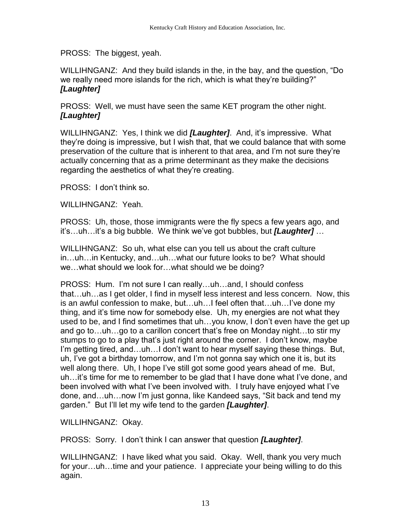PROSS: The biggest, yeah.

WILLIHNGANZ: And they build islands in the, in the bay, and the question, "Do we really need more islands for the rich, which is what they're building?" *[Laughter]*

PROSS: Well, we must have seen the same KET program the other night. *[Laughter]*

WILLIHNGANZ: Yes, I think we did *[Laughter]*. And, it's impressive. What they're doing is impressive, but I wish that, that we could balance that with some preservation of the culture that is inherent to that area, and I'm not sure they're actually concerning that as a prime determinant as they make the decisions regarding the aesthetics of what they're creating.

PROSS: I don't think so.

WILLIHNGANZ: Yeah.

PROSS: Uh, those, those immigrants were the fly specs a few years ago, and it's…uh…it's a big bubble. We think we've got bubbles, but *[Laughter]* …

WILLIHNGANZ: So uh, what else can you tell us about the craft culture in…uh…in Kentucky, and…uh…what our future looks to be? What should we…what should we look for…what should we be doing?

PROSS: Hum. I'm not sure I can really…uh…and, I should confess that…uh…as I get older, I find in myself less interest and less concern. Now, this is an awful confession to make, but…uh…I feel often that…uh…I've done my thing, and it's time now for somebody else. Uh, my energies are not what they used to be, and I find sometimes that uh…you know, I don't even have the get up and go to…uh…go to a carillon concert that's free on Monday night…to stir my stumps to go to a play that's just right around the corner. I don't know, maybe I'm getting tired, and…uh…I don't want to hear myself saying these things. But, uh, I've got a birthday tomorrow, and I'm not gonna say which one it is, but its well along there. Uh, I hope I've still got some good years ahead of me. But, uh…it's time for me to remember to be glad that I have done what I've done, and been involved with what I've been involved with. I truly have enjoyed what I've done, and…uh…now I'm just gonna, like Kandeed says, "Sit back and tend my garden." But I'll let my wife tend to the garden *[Laughter]*.

WILLIHNGANZ: Okay.

PROSS: Sorry. I don't think I can answer that question *[Laughter]*.

WILLIHNGANZ: I have liked what you said. Okay. Well, thank you very much for your…uh…time and your patience. I appreciate your being willing to do this again.